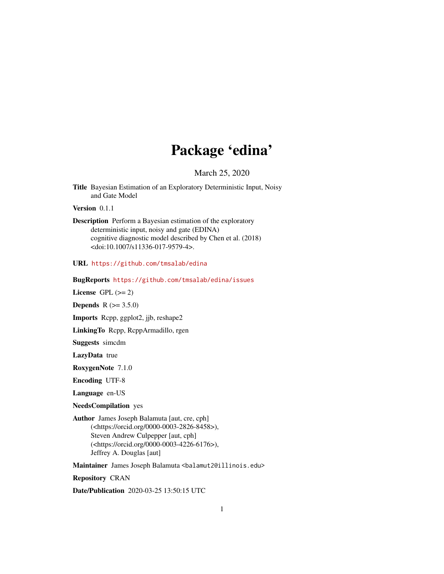# Package 'edina'

March 25, 2020

Title Bayesian Estimation of an Exploratory Deterministic Input, Noisy and Gate Model

Version 0.1.1

Description Perform a Bayesian estimation of the exploratory deterministic input, noisy and gate (EDINA) cognitive diagnostic model described by Chen et al. (2018) <doi:10.1007/s11336-017-9579-4>.

URL <https://github.com/tmsalab/edina>

BugReports <https://github.com/tmsalab/edina/issues>

License GPL  $(>= 2)$ 

**Depends** R  $(>= 3.5.0)$ 

Imports Rcpp, ggplot2, jjb, reshape2

LinkingTo Rcpp, RcppArmadillo, rgen

Suggests simcdm

LazyData true

RoxygenNote 7.1.0

Encoding UTF-8

Language en-US

NeedsCompilation yes

Author James Joseph Balamuta [aut, cre, cph] (<https://orcid.org/0000-0003-2826-8458>), Steven Andrew Culpepper [aut, cph] (<https://orcid.org/0000-0003-4226-6176>), Jeffrey A. Douglas [aut]

Maintainer James Joseph Balamuta <br/>balamut2@illinois.edu>

Repository CRAN

Date/Publication 2020-03-25 13:50:15 UTC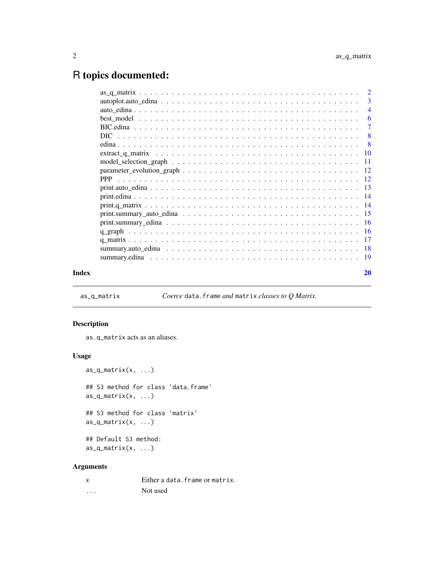## <span id="page-1-0"></span>R topics documented:

|       | $autoplot.auto\_edina \ldots \ldots \ldots \ldots \ldots \ldots \ldots \ldots \ldots \ldots \ldots \ldots 3$ |                |
|-------|--------------------------------------------------------------------------------------------------------------|----------------|
|       |                                                                                                              | $\overline{4}$ |
|       |                                                                                                              |                |
|       |                                                                                                              |                |
|       |                                                                                                              |                |
|       |                                                                                                              |                |
|       |                                                                                                              |                |
|       |                                                                                                              |                |
|       |                                                                                                              |                |
|       |                                                                                                              |                |
|       |                                                                                                              |                |
|       |                                                                                                              |                |
|       |                                                                                                              |                |
|       |                                                                                                              |                |
|       |                                                                                                              |                |
|       |                                                                                                              |                |
|       |                                                                                                              |                |
|       |                                                                                                              |                |
|       |                                                                                                              |                |
| Index |                                                                                                              | 20             |

<span id="page-1-1"></span>as\_q\_matrix *Coerce* data.frame *and* matrix *classes to Q Matrix.*

#### Description

as.q\_matrix acts as an aliases.

#### Usage

```
as_q_matrix(x, ...)
## S3 method for class 'data.frame'
as_q_matrix(x, ...)## S3 method for class 'matrix'
as_q_matrix(x, ...)## Default S3 method:
as_q_matrix(x, ...)
```
#### Arguments

|          | Either a data. frame or matrix. |
|----------|---------------------------------|
| $\cdots$ | Not used                        |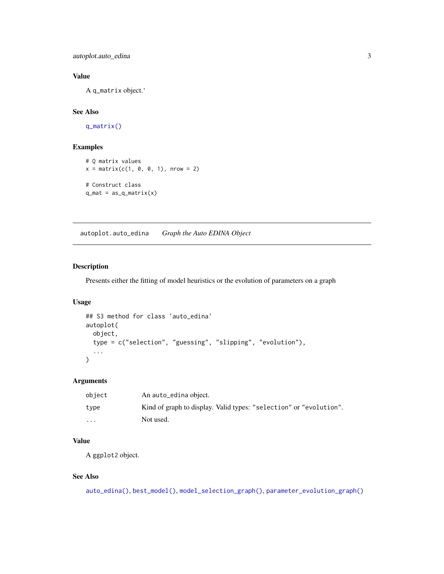<span id="page-2-0"></span>autoplot.auto\_edina 3

#### Value

A q\_matrix object.'

### See Also

[q\\_matrix\(\)](#page-16-1)

#### Examples

```
# Q matrix values
x = matrix(c(1, 0, 0, 1), nrow = 2)# Construct class
q_mat = as_q_matrix(x)
```
<span id="page-2-1"></span>autoplot.auto\_edina *Graph the Auto EDINA Object*

#### Description

Presents either the fitting of model heuristics or the evolution of parameters on a graph

#### Usage

```
## S3 method for class 'auto_edina'
autoplot(
 object,
  type = c("selection", "guessing", "slipping", "evolution"),
  ...
)
```
### Arguments

| object   | An auto_edina object.                                              |
|----------|--------------------------------------------------------------------|
| type     | Kind of graph to display. Valid types: "selection" or "evolution". |
| $\cdots$ | Not used.                                                          |

#### Value

A ggplot2 object.

#### See Also

```
auto_edina(), best_model(), model_selection_graph(), parameter_evolution_graph()
```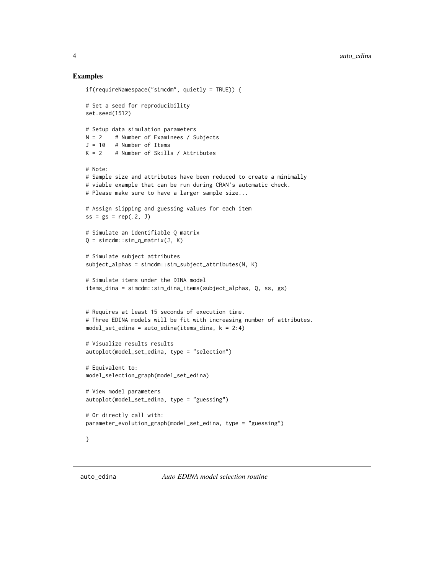#### Examples

```
if(requireNamespace("simcdm", quietly = TRUE)) {
# Set a seed for reproducibility
set.seed(1512)
# Setup data simulation parameters
N = 2 # Number of Examinees / Subjects
J = 10 # Number of Items
K = 2 # Number of Skills / Attributes
# Note:
# Sample size and attributes have been reduced to create a minimally
# viable example that can be run during CRAN's automatic check.
# Please make sure to have a larger sample size...
# Assign slipping and guessing values for each item
ss = gs = rep(.2, J)# Simulate an identifiable Q matrix
Q = \text{simcdm}:\text{sim\_q\_matrix}(J, K)# Simulate subject attributes
subject_alphas = simcdm::sim_subject_attributes(N, K)
# Simulate items under the DINA model
items_dina = simcdm::sim_dina_items(subject_alphas, Q, ss, gs)
# Requires at least 15 seconds of execution time.
# Three EDINA models will be fit with increasing number of attributes.
model_set_edina = auto\_edina(items\_dina, k = 2:4)# Visualize results results
autoplot(model_set_edina, type = "selection")
# Equivalent to:
model_selection_graph(model_set_edina)
# View model parameters
autoplot(model_set_edina, type = "guessing")
# Or directly call with:
parameter_evolution_graph(model_set_edina, type = "guessing")
}
```
<span id="page-3-1"></span>

<span id="page-3-0"></span>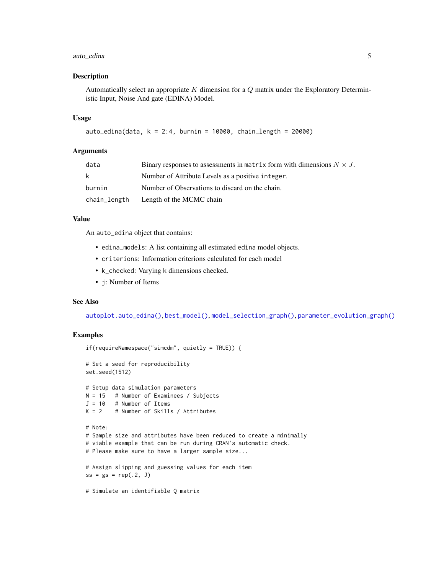#### <span id="page-4-0"></span>auto\_edina 5

#### Description

Automatically select an appropriate  $K$  dimension for a  $Q$  matrix under the Exploratory Deterministic Input, Noise And gate (EDINA) Model.

#### Usage

```
auto\_edina(data, k = 2:4, burnin = 10000, chain\_length = 20000)
```
#### Arguments

| data         | Binary responses to assessments in matrix form with dimensions $N \times J$ . |
|--------------|-------------------------------------------------------------------------------|
| k            | Number of Attribute Levels as a positive integer.                             |
| burnin       | Number of Observations to discard on the chain.                               |
| chain_length | Length of the MCMC chain                                                      |

#### Value

An auto\_edina object that contains:

- edina\_models: A list containing all estimated edina model objects.
- criterions: Information criterions calculated for each model
- k\_checked: Varying k dimensions checked.
- j: Number of Items

#### See Also

[autoplot.auto\\_edina\(\)](#page-2-1), [best\\_model\(\)](#page-5-1), [model\\_selection\\_graph\(\)](#page-10-1), [parameter\\_evolution\\_graph\(\)](#page-11-1)

#### Examples

```
if(requireNamespace("simcdm", quietly = TRUE)) {
# Set a seed for reproducibility
set.seed(1512)
# Setup data simulation parameters
N = 15 # Number of Examinees / Subjects
J = 10 # Number of Items
K = 2 # Number of Skills / Attributes
# Note:
# Sample size and attributes have been reduced to create a minimally
# viable example that can be run during CRAN's automatic check.
# Please make sure to have a larger sample size...
# Assign slipping and guessing values for each item
ss = gs = rep(.2, J)# Simulate an identifiable Q matrix
```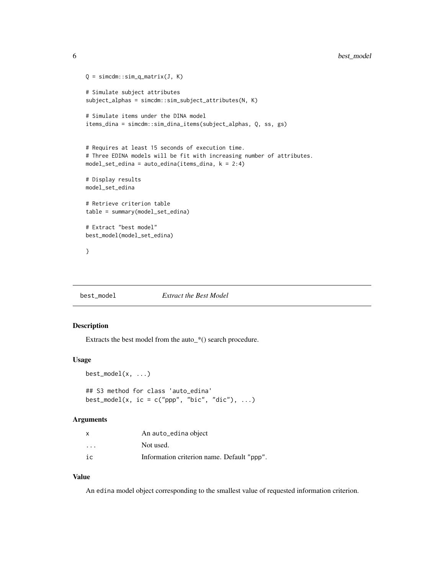```
Q = \text{simcdm}:\text{sim\_q\_matrix}(J, K)# Simulate subject attributes
subject_alphas = simcdm::sim_subject_attributes(N, K)
# Simulate items under the DINA model
items_dina = simcdm::sim_dina_items(subject_alphas, Q, ss, gs)
# Requires at least 15 seconds of execution time.
# Three EDINA models will be fit with increasing number of attributes.
model_set_edina = auto_edina(items_dina, k = 2:4)
# Display results
model_set_edina
# Retrieve criterion table
table = summary(model_set_edina)
# Extract "best model"
best_model(model_set_edina)
}
```
<span id="page-5-1"></span>best\_model *Extract the Best Model*

#### Description

Extracts the best model from the auto\_\*() search procedure.

#### Usage

```
best_model(x, \ldots)## S3 method for class 'auto_edina'
best_model(x, ic = c("ppp", "bic", "dic"), ...)
```
#### Arguments

| x                       | An auto_edina object                       |
|-------------------------|--------------------------------------------|
| $\cdot$ $\cdot$ $\cdot$ | Not used.                                  |
| iс                      | Information criterion name. Default "ppp". |

#### Value

An edina model object corresponding to the smallest value of requested information criterion.

<span id="page-5-0"></span>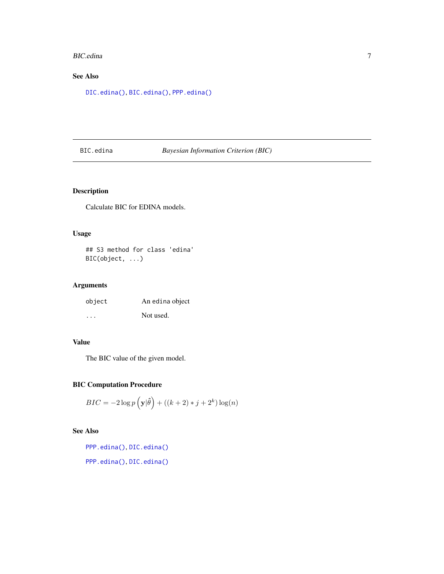#### <span id="page-6-0"></span>BIC.edina 7

## See Also

[DIC.edina\(\)](#page-7-1), [BIC.edina\(\)](#page-6-1), [PPP.edina\(\)](#page-11-2)

#### <span id="page-6-1"></span>BIC.edina *Bayesian Information Criterion (BIC)*

#### Description

Calculate BIC for EDINA models.

#### Usage

## S3 method for class 'edina' BIC(object, ...)

#### Arguments

| object  | An edina object |
|---------|-----------------|
| $\cdot$ | Not used.       |

#### Value

The BIC value of the given model.

#### BIC Computation Procedure

$$
BIC = -2\log p\left(\mathbf{y}|\hat{\theta}\right) + \left((k+2) * j + 2^k\right)\log(n)
$$

#### See Also

[PPP.edina\(\)](#page-11-2), [DIC.edina\(\)](#page-7-1)

[PPP.edina\(\)](#page-11-2), [DIC.edina\(\)](#page-7-1)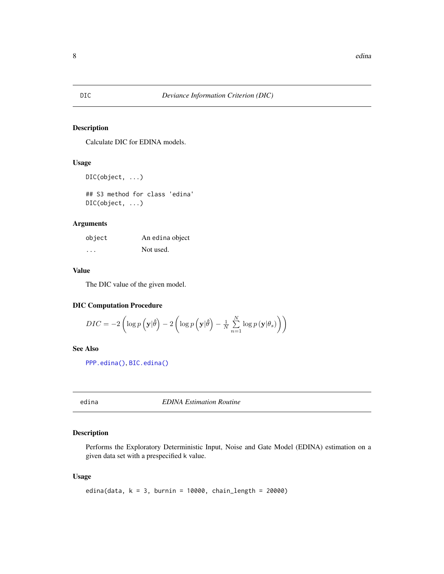#### <span id="page-7-1"></span><span id="page-7-0"></span>Description

Calculate DIC for EDINA models.

#### Usage

```
DIC(object, ...)
```
## S3 method for class 'edina' DIC(object, ...)

#### Arguments

| object | An edina object |
|--------|-----------------|
| .      | Not used.       |

#### Value

The DIC value of the given model.

#### DIC Computation Procedure

$$
DIC = -2 \left( \log p \left( \mathbf{y} | \hat{\theta} \right) - 2 \left( \log p \left( \mathbf{y} | \hat{\theta} \right) - \frac{1}{N} \sum_{n=1}^{N} \log p \left( \mathbf{y} | \theta_s \right) \right) \right)
$$

#### See Also

[PPP.edina\(\)](#page-11-2), [BIC.edina\(\)](#page-6-1)

<span id="page-7-2"></span>edina *EDINA Estimation Routine*

#### Description

Performs the Exploratory Deterministic Input, Noise and Gate Model (EDINA) estimation on a given data set with a prespecified k value.

#### Usage

```
edina(data, k = 3, burnin = 10000, chain_length = 20000)
```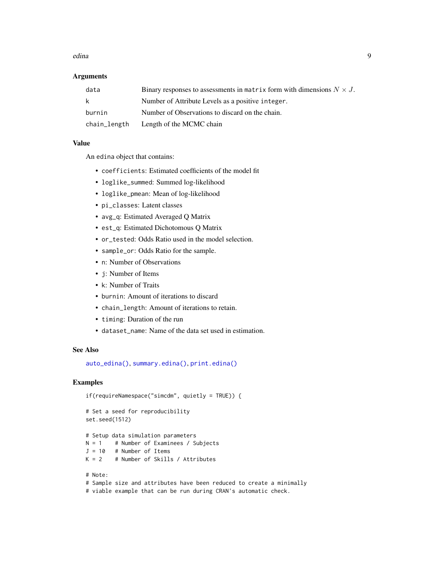#### <span id="page-8-0"></span>edina **9**9

#### **Arguments**

| data         | Binary responses to assessments in matrix form with dimensions $N \times J$ . |
|--------------|-------------------------------------------------------------------------------|
| k.           | Number of Attribute Levels as a positive integer.                             |
| burnin       | Number of Observations to discard on the chain.                               |
| chain_length | Length of the MCMC chain                                                      |

#### Value

An edina object that contains:

- coefficients: Estimated coefficients of the model fit
- loglike\_summed: Summed log-likelihood
- loglike\_pmean: Mean of log-likelihood
- pi\_classes: Latent classes
- avg\_q: Estimated Averaged Q Matrix
- est\_q: Estimated Dichotomous Q Matrix
- or\_tested: Odds Ratio used in the model selection.
- sample\_or: Odds Ratio for the sample.
- n: Number of Observations
- j: Number of Items
- k: Number of Traits
- burnin: Amount of iterations to discard
- chain\_length: Amount of iterations to retain.
- timing: Duration of the run
- dataset\_name: Name of the data set used in estimation.

#### See Also

[auto\\_edina\(\)](#page-3-1), [summary.edina\(\)](#page-18-1), [print.edina\(\)](#page-13-1)

#### Examples

```
if(requireNamespace("simcdm", quietly = TRUE)) {
```

```
# Set a seed for reproducibility
set.seed(1512)
```

```
# Setup data simulation parameters
N = 1 # Number of Examinees / Subjects
J = 10 # Number of Items
```

```
K = 2 # Number of Skills / Attributes
```

```
# Note:
# Sample size and attributes have been reduced to create a minimally
# viable example that can be run during CRAN's automatic check.
```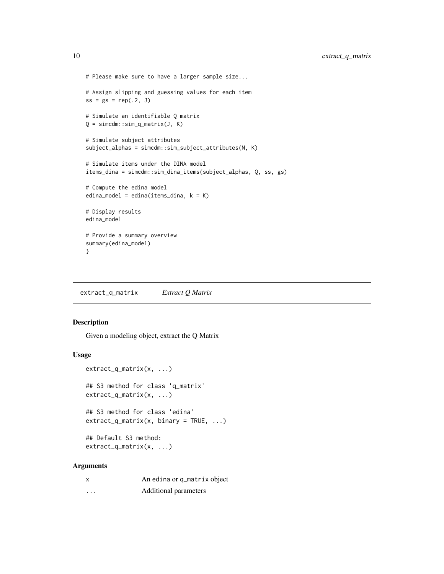```
# Please make sure to have a larger sample size...
# Assign slipping and guessing values for each item
ss = gs = rep(.2, J)# Simulate an identifiable Q matrix
Q = \text{simcdm}:\text{sim\_q\_matrix}(J, K)# Simulate subject attributes
subject_alphas = simcdm::sim_subject_attributes(N, K)
# Simulate items under the DINA model
items_dina = simcdm::sim_dina_items(subject_alphas, Q, ss, gs)
# Compute the edina model
edina_model = edina(items_dina, k = K)
# Display results
edina_model
# Provide a summary overview
summary(edina_model)
}
```
extract\_q\_matrix *Extract Q Matrix*

#### Description

Given a modeling object, extract the Q Matrix

#### Usage

```
extract_q_matrix(x, ...)
## S3 method for class 'q_matrix'
extract_q_matrix(x, ...)
```
## S3 method for class 'edina'  $extract_q_matrix(x, binary = TRUE, ...)$ 

```
## Default S3 method:
extract_q_matrix(x, ...)
```
#### Arguments

| x        | An edina or q_matrix object |
|----------|-----------------------------|
| $\cdots$ | Additional parameters       |

<span id="page-9-0"></span>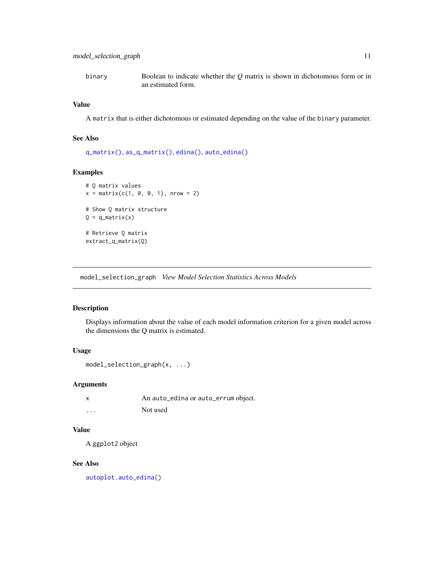<span id="page-10-0"></span>binary Boolean to indicate whether the *Q* matrix is shown in dichotomous form or in an estimated form.

#### Value

A matrix that is either dichotomous or estimated depending on the value of the binary parameter.

#### See Also

```
q_matrix(), as_q_matrix(), edina(), auto_edina()
```
#### Examples

```
# Q matrix values
x = matrix(c(1, 0, 0, 1), nrow = 2)# Show Q matrix structure
Q = q_matrix(x)# Retrieve Q matrix
extract_q_matrix(Q)
```
<span id="page-10-1"></span>model\_selection\_graph *View Model Selection Statistics Across Models*

#### Description

Displays information about the value of each model information criterion for a given model across the dimensions the Q matrix is estimated.

#### Usage

```
model_selection_graph(x, ...)
```
#### Arguments

|          | An auto_edina or auto_errum object. |
|----------|-------------------------------------|
| $\cdots$ | Not used                            |

#### Value

A ggplot2 object

#### See Also

[autoplot.auto\\_edina\(\)](#page-2-1)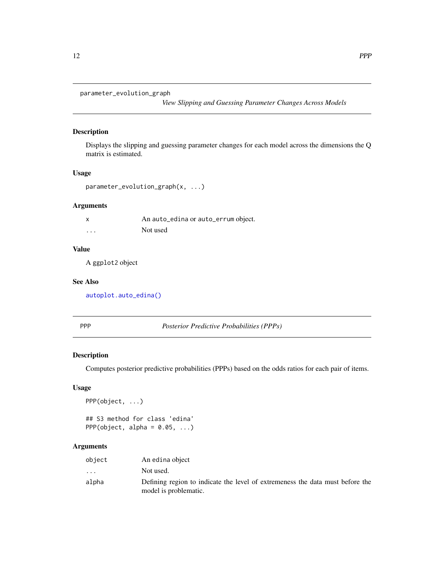```
parameter_evolution_graph
```
*View Slipping and Guessing Parameter Changes Across Models*

#### Description

Displays the slipping and guessing parameter changes for each model across the dimensions the Q matrix is estimated.

#### Usage

```
parameter_evolution_graph(x, ...)
```
#### Arguments

| x        | An auto_edina or auto_errum object. |
|----------|-------------------------------------|
| $\cdots$ | Not used                            |

#### Value

A ggplot2 object

#### See Also

[autoplot.auto\\_edina\(\)](#page-2-1)

<span id="page-11-3"></span>PPP *Posterior Predictive Probabilities (PPPs)*

#### <span id="page-11-2"></span>Description

Computes posterior predictive probabilities (PPPs) based on the odds ratios for each pair of items.

#### Usage

PPP(object, ...)

## S3 method for class 'edina' PPP(object, alpha =  $0.05, ...$ )

#### Arguments

| object  | An edina object                                                                                        |
|---------|--------------------------------------------------------------------------------------------------------|
| $\cdot$ | Not used.                                                                                              |
| alpha   | Defining region to indicate the level of extremeness the data must before the<br>model is problematic. |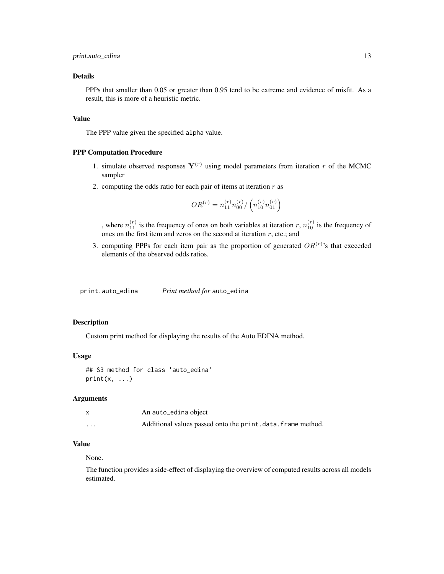#### <span id="page-12-0"></span>Details

PPPs that smaller than 0.05 or greater than 0.95 tend to be extreme and evidence of misfit. As a result, this is more of a heuristic metric.

#### Value

The PPP value given the specified alpha value.

#### PPP Computation Procedure

- 1. simulate observed responses  $Y^{(r)}$  using model parameters from iteration r of the MCMC sampler
- 2. computing the odds ratio for each pair of items at iteration  $r$  as

$$
OR^{(r)} = n_{11}^{(r)}n_{00}^{(r)}/\left(n_{10}^{(r)}n_{01}^{(r)}\right)
$$

, where  $n_{11}^{(r)}$  is the frequency of ones on both variables at iteration r,  $n_{10}^{(r)}$  is the frequency of ones on the first item and zeros on the second at iteration  $r$ , etc.; and

3. computing PPPs for each item pair as the proportion of generated  $OR^{(r)}$ 's that exceeded elements of the observed odds ratios.

print.auto\_edina *Print method for* auto\_edina

#### Description

Custom print method for displaying the results of the Auto EDINA method.

#### Usage

## S3 method for class 'auto\_edina'  $print(x, \ldots)$ 

#### Arguments

|                      | An auto_edina object                                       |
|----------------------|------------------------------------------------------------|
| $\ddot{\phantom{0}}$ | Additional values passed onto the print.data.frame method. |

#### Value

#### None.

The function provides a side-effect of displaying the overview of computed results across all models estimated.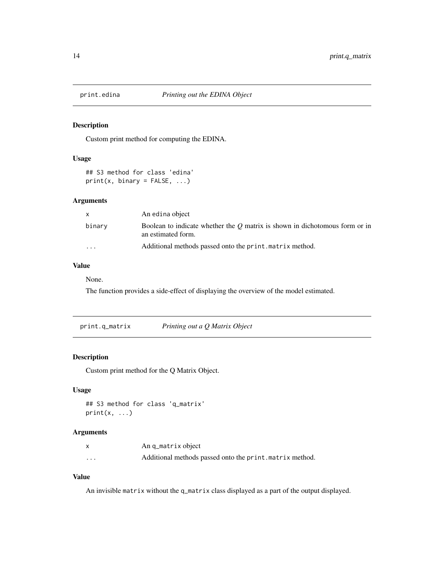<span id="page-13-1"></span><span id="page-13-0"></span>

#### Description

Custom print method for computing the EDINA.

#### Usage

```
## S3 method for class 'edina'
print(x, binary = FALSE, ...)
```
#### Arguments

|           | An edina object                                                                                     |
|-----------|-----------------------------------------------------------------------------------------------------|
| binary    | Boolean to indicate whether the $Q$ matrix is shown in dichotomous form or in<br>an estimated form. |
| $\ddotsc$ | Additional methods passed onto the print. matrix method.                                            |

#### Value

None.

The function provides a side-effect of displaying the overview of the model estimated.

print.q\_matrix *Printing out a Q Matrix Object*

#### Description

Custom print method for the Q Matrix Object.

#### Usage

## S3 method for class 'q\_matrix'  $print(x, \ldots)$ 

#### Arguments

|                         | An q_matrix object                                       |
|-------------------------|----------------------------------------------------------|
| $\cdot$ $\cdot$ $\cdot$ | Additional methods passed onto the print. matrix method. |

#### Value

An invisible matrix without the q\_matrix class displayed as a part of the output displayed.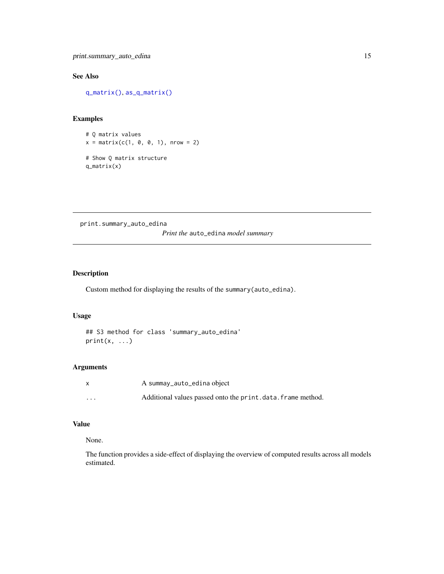<span id="page-14-0"></span>print.summary\_auto\_edina 15

#### See Also

[q\\_matrix\(\)](#page-16-1), [as\\_q\\_matrix\(\)](#page-1-1)

#### Examples

```
# Q matrix values
x = matrix(c(1, 0, 0, 1), nrow = 2)# Show Q matrix structure
q_matrix(x)
```
print.summary\_auto\_edina *Print the* auto\_edina *model summary*

#### Description

Custom method for displaying the results of the summary(auto\_edina).

#### Usage

## S3 method for class 'summary\_auto\_edina'  $print(x, \ldots)$ 

#### Arguments

|          | A summay_auto_edina object                                 |
|----------|------------------------------------------------------------|
| $\cdots$ | Additional values passed onto the print.data.frame method. |

#### Value

#### None.

The function provides a side-effect of displaying the overview of computed results across all models estimated.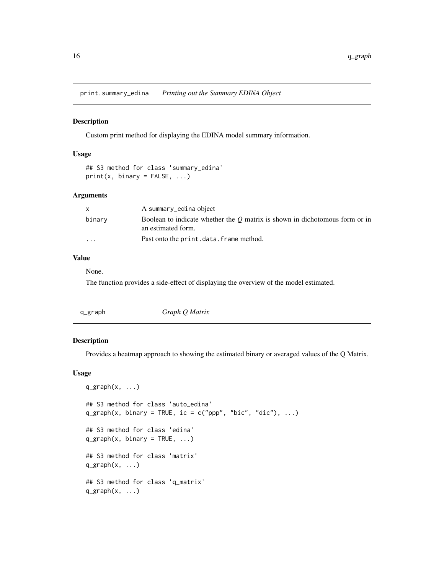<span id="page-15-0"></span>print.summary\_edina *Printing out the Summary EDINA Object*

#### Description

Custom print method for displaying the EDINA model summary information.

#### Usage

## S3 method for class 'summary\_edina'  $print(x, binary = FALSE, ...)$ 

#### Arguments

|                         | A summary_edina object                                                                              |
|-------------------------|-----------------------------------------------------------------------------------------------------|
| binarv                  | Boolean to indicate whether the $O$ matrix is shown in dichotomous form or in<br>an estimated form. |
| $\cdot$ $\cdot$ $\cdot$ | Past onto the print.data.frame method.                                                              |

#### Value

None.

The function provides a side-effect of displaying the overview of the model estimated.

|  | q_graph | Graph Q Matrix |  |
|--|---------|----------------|--|
|--|---------|----------------|--|

#### Description

Provides a heatmap approach to showing the estimated binary or averaged values of the Q Matrix.

#### Usage

```
q_{\text{graph}}(x, \ldots)## S3 method for class 'auto_edina'
q_graph(x, binary = TRUE, ic = c("ppp", "bic", "dic"), ...)
## S3 method for class 'edina'
q_{\text{graph}}(x, \text{ binary} = \text{TRUE}, \dots)## S3 method for class 'matrix'
q_{\text{graph}}(x, \ldots)## S3 method for class 'q_matrix'
q_{\text{graph}}(x, \ldots)
```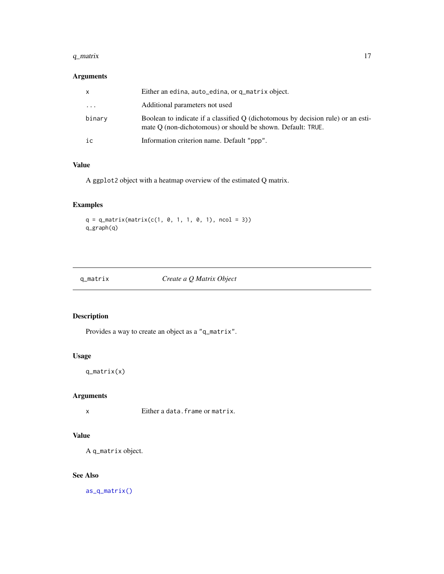#### <span id="page-16-0"></span> $q_{\perp}$  matrix  $17$

#### Arguments

| X       | Either an edina, auto_edina, or q_matrix object.                                                                                                |
|---------|-------------------------------------------------------------------------------------------------------------------------------------------------|
| $\cdot$ | Additional parameters not used                                                                                                                  |
| binary  | Boolean to indicate if a classified O (dichotomous by decision rule) or an esti-<br>mate O (non-dichotomous) or should be shown. Default: TRUE. |
| ic      | Information criterion name. Default "ppp".                                                                                                      |

#### Value

A ggplot2 object with a heatmap overview of the estimated Q matrix.

#### Examples

 $q = q_{\text{matrix}(\text{matrix}(c(1, 0, 1, 1, 0, 1), \text{ncol} = 3))$ q\_graph(q)

<span id="page-16-1"></span>

| q_matrix |  |
|----------|--|

q\_matrix *Create a Q Matrix Object*

#### Description

Provides a way to create an object as a "q\_matrix".

#### Usage

q\_matrix(x)

#### Arguments

x Either a data.frame or matrix.

#### Value

A q\_matrix object.

#### See Also

[as\\_q\\_matrix\(\)](#page-1-1)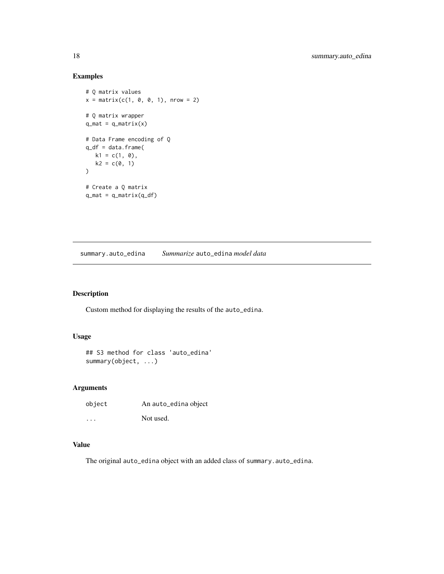#### Examples

```
# Q matrix values
x = matrix(c(1, 0, 0, 1), nrow = 2)# Q matrix wrapper
q_mat = q_matrix(x)# Data Frame encoding of Q
q_df = data.frame(
  k1 = c(1, 0),
  k2 = c(0, 1)\mathcal{L}# Create a Q matrix
q_mat = q_matrix(q_df)
```
summary.auto\_edina *Summarize* auto\_edina *model data*

#### Description

Custom method for displaying the results of the auto\_edina.

#### Usage

```
## S3 method for class 'auto_edina'
summary(object, ...)
```
#### Arguments

| object   | An auto_edina object |
|----------|----------------------|
| $\cdots$ | Not used.            |

#### Value

The original auto\_edina object with an added class of summary.auto\_edina.

<span id="page-17-0"></span>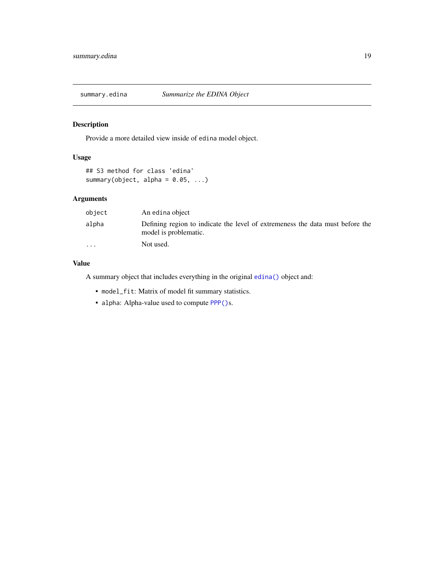<span id="page-18-1"></span><span id="page-18-0"></span>

#### Description

Provide a more detailed view inside of edina model object.

#### Usage

```
## S3 method for class 'edina'
summary(object, alpha = 0.05, ...)
```
#### Arguments

| object                  | An edina object                                                                                        |
|-------------------------|--------------------------------------------------------------------------------------------------------|
| alpha                   | Defining region to indicate the level of extremeness the data must before the<br>model is problematic. |
| $\cdot$ $\cdot$ $\cdot$ | Not used.                                                                                              |

#### Value

A summary object that includes everything in the original [edina\(\)](#page-7-2) object and:

- model\_fit: Matrix of model fit summary statistics.
- alpha: Alpha-value used to compute [PPP\(\)](#page-11-3)s.